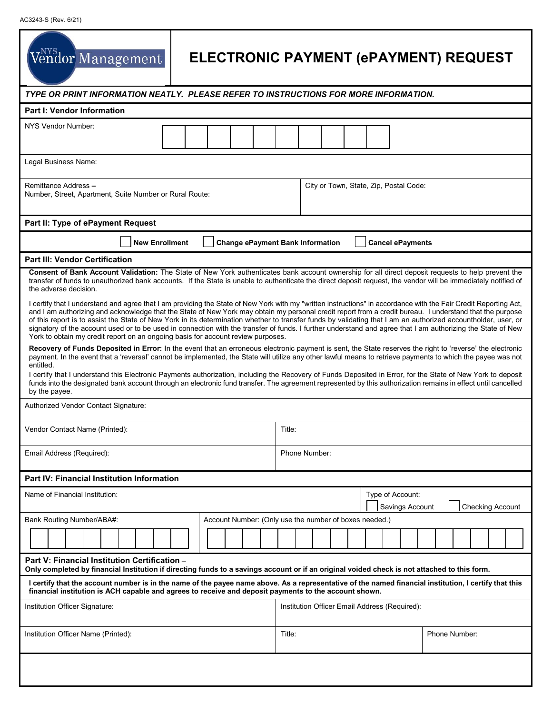| Vendor Management                                                                                                                                                                                                                                                                                                                                                                                                                                                                                                                                                                                                                                                                                                                                 | ELECTRONIC PAYMENT (ePAYMENT) REQUEST         |                                                                |  |  |                                         |  |                                        |  |  |  |  |                         |  |  |  |  |  |  |  |
|---------------------------------------------------------------------------------------------------------------------------------------------------------------------------------------------------------------------------------------------------------------------------------------------------------------------------------------------------------------------------------------------------------------------------------------------------------------------------------------------------------------------------------------------------------------------------------------------------------------------------------------------------------------------------------------------------------------------------------------------------|-----------------------------------------------|----------------------------------------------------------------|--|--|-----------------------------------------|--|----------------------------------------|--|--|--|--|-------------------------|--|--|--|--|--|--|--|
| TYPE OR PRINT INFORMATION NEATLY. PLEASE REFER TO INSTRUCTIONS FOR MORE INFORMATION.                                                                                                                                                                                                                                                                                                                                                                                                                                                                                                                                                                                                                                                              |                                               |                                                                |  |  |                                         |  |                                        |  |  |  |  |                         |  |  |  |  |  |  |  |
| <b>Part I: Vendor Information</b>                                                                                                                                                                                                                                                                                                                                                                                                                                                                                                                                                                                                                                                                                                                 |                                               |                                                                |  |  |                                         |  |                                        |  |  |  |  |                         |  |  |  |  |  |  |  |
| NYS Vendor Number:                                                                                                                                                                                                                                                                                                                                                                                                                                                                                                                                                                                                                                                                                                                                |                                               |                                                                |  |  |                                         |  |                                        |  |  |  |  |                         |  |  |  |  |  |  |  |
| Legal Business Name:                                                                                                                                                                                                                                                                                                                                                                                                                                                                                                                                                                                                                                                                                                                              |                                               |                                                                |  |  |                                         |  |                                        |  |  |  |  |                         |  |  |  |  |  |  |  |
| Remittance Address -<br>Number, Street, Apartment, Suite Number or Rural Route:                                                                                                                                                                                                                                                                                                                                                                                                                                                                                                                                                                                                                                                                   |                                               |                                                                |  |  |                                         |  | City or Town, State, Zip, Postal Code: |  |  |  |  |                         |  |  |  |  |  |  |  |
| Part II: Type of ePayment Request                                                                                                                                                                                                                                                                                                                                                                                                                                                                                                                                                                                                                                                                                                                 |                                               |                                                                |  |  |                                         |  |                                        |  |  |  |  |                         |  |  |  |  |  |  |  |
| <b>New Enrollment</b>                                                                                                                                                                                                                                                                                                                                                                                                                                                                                                                                                                                                                                                                                                                             |                                               |                                                                |  |  | <b>Change ePayment Bank Information</b> |  |                                        |  |  |  |  | <b>Cancel ePayments</b> |  |  |  |  |  |  |  |
| <b>Part III: Vendor Certification</b>                                                                                                                                                                                                                                                                                                                                                                                                                                                                                                                                                                                                                                                                                                             |                                               |                                                                |  |  |                                         |  |                                        |  |  |  |  |                         |  |  |  |  |  |  |  |
| Consent of Bank Account Validation: The State of New York authenticates bank account ownership for all direct deposit requests to help prevent the<br>transfer of funds to unauthorized bank accounts. If the State is unable to authenticate the direct deposit request, the vendor will be immediately notified of<br>the adverse decision.                                                                                                                                                                                                                                                                                                                                                                                                     |                                               |                                                                |  |  |                                         |  |                                        |  |  |  |  |                         |  |  |  |  |  |  |  |
| I certify that I understand and agree that I am providing the State of New York with my "written instructions" in accordance with the Fair Credit Reporting Act,<br>and I am authorizing and acknowledge that the State of New York may obtain my personal credit report from a credit bureau. I understand that the purpose<br>of this report is to assist the State of New York in its determination whether to transfer funds by validating that I am an authorized accountholder, user, or<br>signatory of the account used or to be used in connection with the transfer of funds. I further understand and agree that I am authorizing the State of New<br>York to obtain my credit report on an ongoing basis for account review purposes. |                                               |                                                                |  |  |                                         |  |                                        |  |  |  |  |                         |  |  |  |  |  |  |  |
| Recovery of Funds Deposited in Error: In the event that an erroneous electronic payment is sent, the State reserves the right to 'reverse' the electronic<br>payment. In the event that a 'reversal' cannot be implemented, the State will utilize any other lawful means to retrieve payments to which the payee was not<br>entitled.<br>I certify that I understand this Electronic Payments authorization, including the Recovery of Funds Deposited in Error, for the State of New York to deposit<br>funds into the designated bank account through an electronic fund transfer. The agreement represented by this authorization remains in effect until cancelled<br>by the payee.                                                          |                                               |                                                                |  |  |                                         |  |                                        |  |  |  |  |                         |  |  |  |  |  |  |  |
| Authorized Vendor Contact Signature:                                                                                                                                                                                                                                                                                                                                                                                                                                                                                                                                                                                                                                                                                                              |                                               |                                                                |  |  |                                         |  |                                        |  |  |  |  |                         |  |  |  |  |  |  |  |
| Vendor Contact Name (Printed):                                                                                                                                                                                                                                                                                                                                                                                                                                                                                                                                                                                                                                                                                                                    |                                               |                                                                |  |  |                                         |  | Title:                                 |  |  |  |  |                         |  |  |  |  |  |  |  |
| Email Address (Required):                                                                                                                                                                                                                                                                                                                                                                                                                                                                                                                                                                                                                                                                                                                         |                                               |                                                                |  |  |                                         |  | Phone Number:                          |  |  |  |  |                         |  |  |  |  |  |  |  |
| <b>Part IV: Financial Institution Information</b>                                                                                                                                                                                                                                                                                                                                                                                                                                                                                                                                                                                                                                                                                                 |                                               |                                                                |  |  |                                         |  |                                        |  |  |  |  |                         |  |  |  |  |  |  |  |
| Name of Financial Institution:                                                                                                                                                                                                                                                                                                                                                                                                                                                                                                                                                                                                                                                                                                                    |                                               | Type of Account:<br>Savings Account<br><b>Checking Account</b> |  |  |                                         |  |                                        |  |  |  |  |                         |  |  |  |  |  |  |  |
| Account Number: (Only use the number of boxes needed.)<br>Bank Routing Number/ABA#:                                                                                                                                                                                                                                                                                                                                                                                                                                                                                                                                                                                                                                                               |                                               |                                                                |  |  |                                         |  |                                        |  |  |  |  |                         |  |  |  |  |  |  |  |
|                                                                                                                                                                                                                                                                                                                                                                                                                                                                                                                                                                                                                                                                                                                                                   |                                               |                                                                |  |  |                                         |  |                                        |  |  |  |  |                         |  |  |  |  |  |  |  |
| Part V: Financial Institution Certification -<br>Only completed by financial Institution if directing funds to a savings account or if an original voided check is not attached to this form.                                                                                                                                                                                                                                                                                                                                                                                                                                                                                                                                                     |                                               |                                                                |  |  |                                         |  |                                        |  |  |  |  |                         |  |  |  |  |  |  |  |
| I certify that the account number is in the name of the payee name above. As a representative of the named financial institution, I certify that this<br>financial institution is ACH capable and agrees to receive and deposit payments to the account shown.                                                                                                                                                                                                                                                                                                                                                                                                                                                                                    |                                               |                                                                |  |  |                                         |  |                                        |  |  |  |  |                         |  |  |  |  |  |  |  |
| Institution Officer Signature:                                                                                                                                                                                                                                                                                                                                                                                                                                                                                                                                                                                                                                                                                                                    | Institution Officer Email Address (Required): |                                                                |  |  |                                         |  |                                        |  |  |  |  |                         |  |  |  |  |  |  |  |
| Institution Officer Name (Printed):                                                                                                                                                                                                                                                                                                                                                                                                                                                                                                                                                                                                                                                                                                               |                                               |                                                                |  |  |                                         |  | Title:<br>Phone Number:                |  |  |  |  |                         |  |  |  |  |  |  |  |
|                                                                                                                                                                                                                                                                                                                                                                                                                                                                                                                                                                                                                                                                                                                                                   |                                               |                                                                |  |  |                                         |  |                                        |  |  |  |  |                         |  |  |  |  |  |  |  |